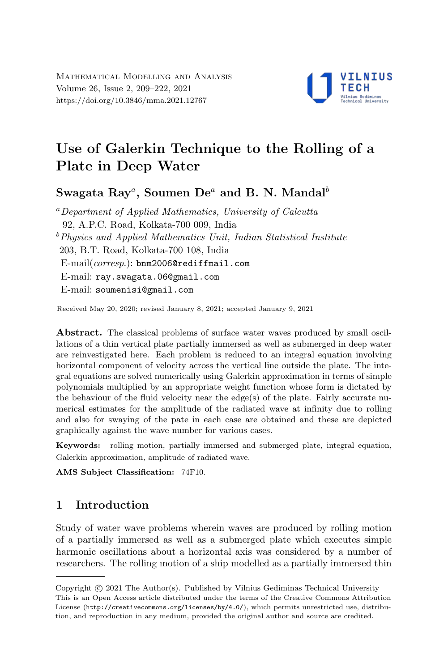

# Use of Galerkin Technique to the Rolling of a Plate in Deep Water

Swagata  ${\rm Ray}^a,$  Soumen  ${\rm De}^a$  and B. N. Mandal $^b$ 

<sup>a</sup>Department of Applied Mathematics, University of Calcutta 92, A.P.C. Road, Kolkata-700 009, India  $b$ Physics and Applied Mathematics Unit, Indian Statistical Institute 203, B.T. Road, Kolkata-700 108, India E-mail(corresp.): bnm2006@rediffmail.com E-mail: ray.swagata.06@gmail.com E-mail: soumenisi@gmail.com

Received May 20, 2020; revised January 8, 2021; accepted January 9, 2021

Abstract. The classical problems of surface water waves produced by small oscillations of a thin vertical plate partially immersed as well as submerged in deep water are reinvestigated here. Each problem is reduced to an integral equation involving horizontal component of velocity across the vertical line outside the plate. The integral equations are solved numerically using Galerkin approximation in terms of simple polynomials multiplied by an appropriate weight function whose form is dictated by the behaviour of the fluid velocity near the edge(s) of the plate. Fairly accurate numerical estimates for the amplitude of the radiated wave at infinity due to rolling and also for swaying of the pate in each case are obtained and these are depicted graphically against the wave number for various cases.

Keywords: rolling motion, partially immersed and submerged plate, integral equation, Galerkin approximation, amplitude of radiated wave.

AMS Subject Classification: 74F10.

# 1 Introduction

Study of water wave problems wherein waves are produced by rolling motion of a partially immersed as well as a submerged plate which executes simple harmonic oscillations about a horizontal axis was considered by a number of researchers. The rolling motion of a ship modelled as a partially immersed thin

Copyright (C) 2021 The Author(s). Published by Vilnius Gediminas Technical University<br>This is an Open Access article distributed under the terms of the Creative Commons Attribution Copyright  $\odot$  2021 The Author(s). Published by Vilnius Gediminas Technical University License (http://creativecommons.org/licenses/by/4.0/), which permits unrestricted use, distribution, and reproduction in any medium, provided the original author and source are credited.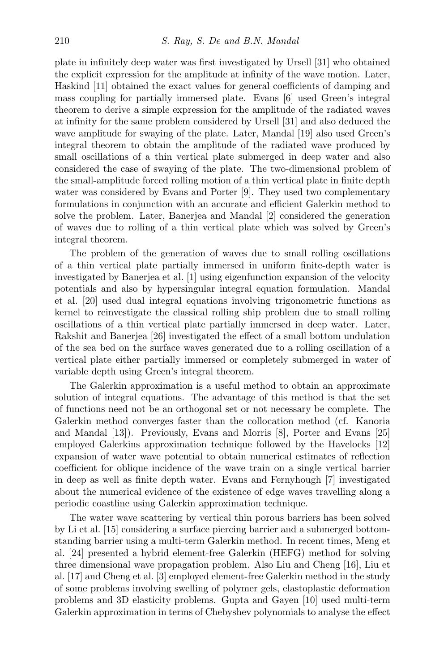plate in infinitely deep water was first investigated by Ursell [31] who obtained the explicit expression for the amplitude at infinity of the wave motion. Later, Haskind [11] obtained the exact values for general coefficients of damping and mass coupling for partially immersed plate. Evans [6] used Green's integral theorem to derive a simple expression for the amplitude of the radiated waves at infinity for the same problem considered by Ursell [31] and also deduced the wave amplitude for swaying of the plate. Later, Mandal [19] also used Green's integral theorem to obtain the amplitude of the radiated wave produced by small oscillations of a thin vertical plate submerged in deep water and also considered the case of swaying of the plate. The two-dimensional problem of the small-amplitude forced rolling motion of a thin vertical plate in finite depth water was considered by Evans and Porter [9]. They used two complementary formulations in conjunction with an accurate and efficient Galerkin method to solve the problem. Later, Banerjea and Mandal [2] considered the generation of waves due to rolling of a thin vertical plate which was solved by Green's integral theorem.

The problem of the generation of waves due to small rolling oscillations of a thin vertical plate partially immersed in uniform finite-depth water is investigated by Banerjea et al. [1] using eigenfunction expansion of the velocity potentials and also by hypersingular integral equation formulation. Mandal et al. [20] used dual integral equations involving trigonometric functions as kernel to reinvestigate the classical rolling ship problem due to small rolling oscillations of a thin vertical plate partially immersed in deep water. Later, Rakshit and Banerjea [26] investigated the effect of a small bottom undulation of the sea bed on the surface waves generated due to a rolling oscillation of a vertical plate either partially immersed or completely submerged in water of variable depth using Green's integral theorem.

The Galerkin approximation is a useful method to obtain an approximate solution of integral equations. The advantage of this method is that the set of functions need not be an orthogonal set or not necessary be complete. The Galerkin method converges faster than the collocation method (cf. Kanoria and Mandal [13]). Previously, Evans and Morris [8], Porter and Evans [25] employed Galerkins approximation technique followed by the Havelocks [12] expansion of water wave potential to obtain numerical estimates of reflection coefficient for oblique incidence of the wave train on a single vertical barrier in deep as well as finite depth water. Evans and Fernyhough [7] investigated about the numerical evidence of the existence of edge waves travelling along a periodic coastline using Galerkin approximation technique.

The water wave scattering by vertical thin porous barriers has been solved by Li et al. [15] considering a surface piercing barrier and a submerged bottomstanding barrier using a multi-term Galerkin method. In recent times, Meng et al. [24] presented a hybrid element-free Galerkin (HEFG) method for solving three dimensional wave propagation problem. Also Liu and Cheng [16], Liu et al. [17] and Cheng et al. [3] employed element-free Galerkin method in the study of some problems involving swelling of polymer gels, elastoplastic deformation problems and 3D elasticity problems. Gupta and Gayen [10] used multi-term Galerkin approximation in terms of Chebyshev polynomials to analyse the effect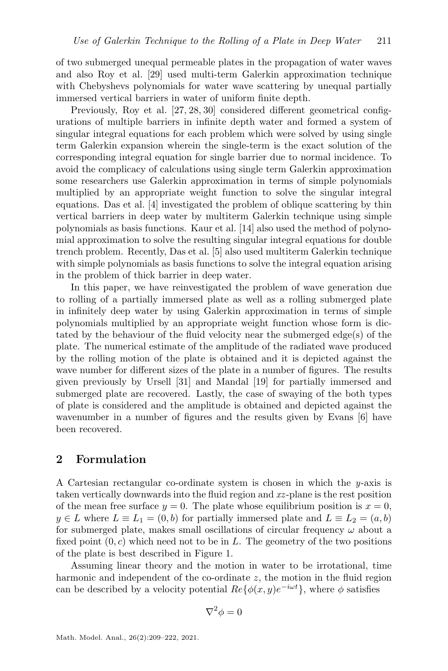of two submerged unequal permeable plates in the propagation of water waves and also Roy et al. [29] used multi-term Galerkin approximation technique with Chebyshevs polynomials for water wave scattering by unequal partially immersed vertical barriers in water of uniform finite depth.

Previously, Roy et al. [27, 28, 30] considered different geometrical configurations of multiple barriers in infinite depth water and formed a system of singular integral equations for each problem which were solved by using single term Galerkin expansion wherein the single-term is the exact solution of the corresponding integral equation for single barrier due to normal incidence. To avoid the complicacy of calculations using single term Galerkin approximation some researchers use Galerkin approximation in terms of simple polynomials multiplied by an appropriate weight function to solve the singular integral equations. Das et al. [4] investigated the problem of oblique scattering by thin vertical barriers in deep water by multiterm Galerkin technique using simple polynomials as basis functions. Kaur et al. [14] also used the method of polynomial approximation to solve the resulting singular integral equations for double trench problem. Recently, Das et al. [5] also used multiterm Galerkin technique with simple polynomials as basis functions to solve the integral equation arising in the problem of thick barrier in deep water.

In this paper, we have reinvestigated the problem of wave generation due to rolling of a partially immersed plate as well as a rolling submerged plate in infinitely deep water by using Galerkin approximation in terms of simple polynomials multiplied by an appropriate weight function whose form is dictated by the behaviour of the fluid velocity near the submerged edge(s) of the plate. The numerical estimate of the amplitude of the radiated wave produced by the rolling motion of the plate is obtained and it is depicted against the wave number for different sizes of the plate in a number of figures. The results given previously by Ursell [31] and Mandal [19] for partially immersed and submerged plate are recovered. Lastly, the case of swaying of the both types of plate is considered and the amplitude is obtained and depicted against the wavenumber in a number of figures and the results given by Evans [6] have been recovered.

## 2 Formulation

A Cartesian rectangular co-ordinate system is chosen in which the y-axis is taken vertically downwards into the fluid region and xz -plane is the rest position of the mean free surface  $y = 0$ . The plate whose equilibrium position is  $x = 0$ ,  $y \in L$  where  $L \equiv L_1 = (0, b)$  for partially immersed plate and  $L \equiv L_2 = (a, b)$ for submerged plate, makes small oscillations of circular frequency  $\omega$  about a fixed point  $(0, c)$  which need not to be in L. The geometry of the two positions of the plate is best described in Figure 1.

Assuming linear theory and the motion in water to be irrotational, time harmonic and independent of the co-ordinate z, the motion in the fluid region can be described by a velocity potential  $Re\{\phi(x,y)e^{-i\omega t}\}\,$ , where  $\phi$  satisfies

$$
\nabla^2 \phi = 0
$$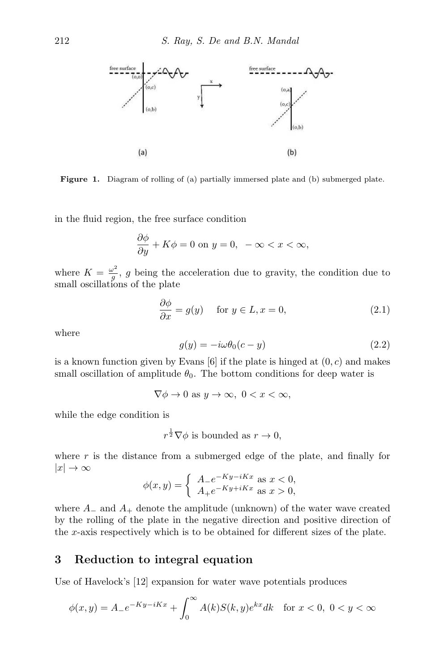

Figure 1. Diagram of rolling of (a) partially immersed plate and (b) submerged plate.

in the fluid region, the free surface condition

$$
\frac{\partial \phi}{\partial y} + K\phi = 0 \text{ on } y = 0, \ -\infty < x < \infty,
$$

where  $K = \frac{\omega^2}{a}$  $\frac{\partial^2}{\partial g}$ , g being the acceleration due to gravity, the condition due to small oscillations of the plate

$$
\frac{\partial \phi}{\partial x} = g(y) \quad \text{for } y \in L, x = 0,
$$
\n(2.1)

where

$$
g(y) = -i\omega\theta_0(c - y) \tag{2.2}
$$

is a known function given by Evans  $[6]$  if the plate is hinged at  $(0, c)$  and makes small oscillation of amplitude  $\theta_0$ . The bottom conditions for deep water is

 $\nabla \phi \to 0$  as  $y \to \infty$ ,  $0 < x < \infty$ ,

while the edge condition is

 $r^{\frac{1}{2}}\nabla\phi$  is bounded as  $r\to 0$ ,

where  $r$  is the distance from a submerged edge of the plate, and finally for  $|x| \to \infty$ 

$$
\phi(x,y) = \begin{cases} A_{-}e^{-Ky - iKx} \text{ as } x < 0, \\ A_{+}e^{-Ky + iKx} \text{ as } x > 0, \end{cases}
$$

where  $A_-\$  and  $A_+\$  denote the amplitude (unknown) of the water wave created by the rolling of the plate in the negative direction and positive direction of the x-axis respectively which is to be obtained for different sizes of the plate.

# 3 Reduction to integral equation

Use of Havelock's [12] expansion for water wave potentials produces

$$
\phi(x,y) = A_-e^{-Ky - iKx} + \int_0^\infty A(k)S(k,y)e^{kx}dk \quad \text{for } x < 0, \ 0 < y < \infty
$$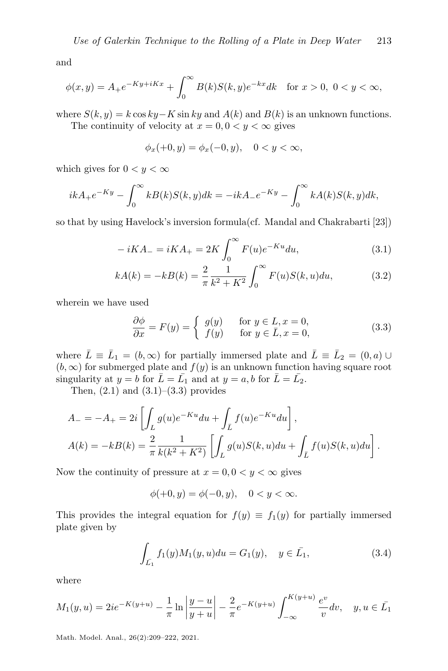and

$$
\phi(x,y) = A_+ e^{-Ky + iKx} + \int_0^\infty B(k)S(k,y)e^{-kx}dk \quad \text{for } x > 0, \ 0 < y < \infty,
$$

where  $S(k, y) = k \cos ky - K \sin ky$  and  $A(k)$  and  $B(k)$  is an unknown functions. The continuity of velocity at  $x = 0, 0 < y < \infty$  gives

$$
\phi_x(+0, y) = \phi_x(-0, y), \quad 0 < y < \infty,
$$

which gives for  $0 < y < \infty$ 

$$
ikA_{+}e^{-Ky} - \int_{0}^{\infty} kB(k)S(k,y)dk = -ikA_{-}e^{-Ky} - \int_{0}^{\infty} kA(k)S(k,y)dk,
$$

so that by using Havelock's inversion formula(cf. Mandal and Chakrabarti [23])

$$
-iKA_{-} = iKA_{+} = 2K \int_{0}^{\infty} F(u)e^{-Ku} du,
$$
\n(3.1)

$$
kA(k) = -kB(k) = \frac{2}{\pi} \frac{1}{k^2 + K^2} \int_0^\infty F(u)S(k, u)du,
$$
 (3.2)

wherein we have used

$$
\frac{\partial \phi}{\partial x} = F(y) = \begin{cases} g(y) & \text{for } y \in L, x = 0, \\ f(y) & \text{for } y \in \overline{L}, x = 0, \end{cases}
$$
(3.3)

where  $\bar{L} \equiv \bar{L}_1 = (b, \infty)$  for partially immersed plate and  $\bar{L} \equiv \bar{L}_2 = (0, a) \cup$  $(b, \infty)$  for submerged plate and  $f(y)$  is an unknown function having square root singularity at  $y = b$  for  $\bar{L} = \bar{L_1}$  and at  $y = a, b$  for  $\bar{L} = \bar{L_2}$ .

Then,  $(2.1)$  and  $(3.1)$ – $(3.3)$  provides

$$
A_{-} = -A_{+} = 2i \left[ \int_{L} g(u)e^{-Ku} du + \int_{L} f(u)e^{-Ku} du \right],
$$
  
\n
$$
A(k) = -kB(k) = \frac{2}{\pi} \frac{1}{k(k^{2} + K^{2})} \left[ \int_{L} g(u)S(k, u) du + \int_{\bar{L}} f(u)S(k, u) du \right].
$$

Now the continuity of pressure at  $x = 0, 0 < y < \infty$  gives

$$
\phi(+0, y) = \phi(-0, y), \quad 0 < y < \infty.
$$

This provides the integral equation for  $f(y) \equiv f_1(y)$  for partially immersed plate given by

$$
\int_{\bar{L_1}} f_1(y) M_1(y, u) du = G_1(y), \quad y \in \bar{L_1},
$$
\n(3.4)

where

$$
M_1(y, u) = 2ie^{-K(y+u)} - \frac{1}{\pi} \ln \left| \frac{y-u}{y+u} \right| - \frac{2}{\pi} e^{-K(y+u)} \int_{-\infty}^{K(y+u)} \frac{e^v}{v} dv, \quad y, u \in \overline{L_1}
$$

Math. Model. Anal., 26(2):209–222, 2021.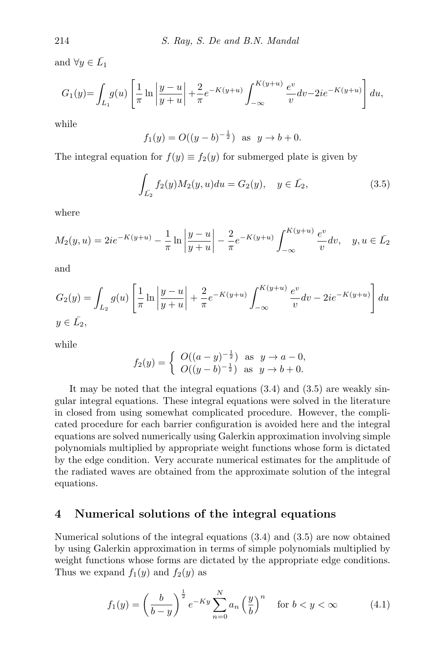and  $\forall y \in \overline{L}_1$ 

$$
G_1(y) = \int_{L_1} g(u) \left[ \frac{1}{\pi} \ln \left| \frac{y - u}{y + u} \right| + \frac{2}{\pi} e^{-K(y + u)} \int_{-\infty}^{K(y + u)} \frac{e^v}{v} dv - 2ie^{-K(y + u)} \right] du,
$$

while

$$
f_1(y) = O((y-b)^{-\frac{1}{2}})
$$
 as  $y \to b + 0$ .

The integral equation for  $f(y) \equiv f_2(y)$  for submerged plate is given by

$$
\int_{\bar{L}_2} f_2(y) M_2(y, u) du = G_2(y), \quad y \in \bar{L}_2,
$$
\n(3.5)

where

$$
M_2(y, u) = 2ie^{-K(y+u)} - \frac{1}{\pi} \ln \left| \frac{y-u}{y+u} \right| - \frac{2}{\pi} e^{-K(y+u)} \int_{-\infty}^{K(y+u)} \frac{e^v}{v} dv, \quad y, u \in \bar{L}_2
$$

and

$$
G_2(y) = \int_{L_2} g(u) \left[ \frac{1}{\pi} \ln \left| \frac{y - u}{y + u} \right| + \frac{2}{\pi} e^{-K(y + u)} \int_{-\infty}^{K(y + u)} \frac{e^v}{v} dv - 2ie^{-K(y + u)} \right] du
$$
  

$$
y \in \bar{L_2},
$$

while

$$
f_2(y) = \begin{cases} O((a - y)^{-\frac{1}{2}}) & \text{as } y \to a - 0, \\ O((y - b)^{-\frac{1}{2}}) & \text{as } y \to b + 0. \end{cases}
$$

It may be noted that the integral equations (3.4) and (3.5) are weakly singular integral equations. These integral equations were solved in the literature in closed from using somewhat complicated procedure. However, the complicated procedure for each barrier configuration is avoided here and the integral equations are solved numerically using Galerkin approximation involving simple polynomials multiplied by appropriate weight functions whose form is dictated by the edge condition. Very accurate numerical estimates for the amplitude of the radiated waves are obtained from the approximate solution of the integral equations.

#### 4 Numerical solutions of the integral equations

Numerical solutions of the integral equations (3.4) and (3.5) are now obtained by using Galerkin approximation in terms of simple polynomials multiplied by weight functions whose forms are dictated by the appropriate edge conditions. Thus we expand  $f_1(y)$  and  $f_2(y)$  as

$$
f_1(y) = \left(\frac{b}{b-y}\right)^{\frac{1}{2}} e^{-Ky} \sum_{n=0}^{N} a_n \left(\frac{y}{b}\right)^n \quad \text{for } b < y < \infty \tag{4.1}
$$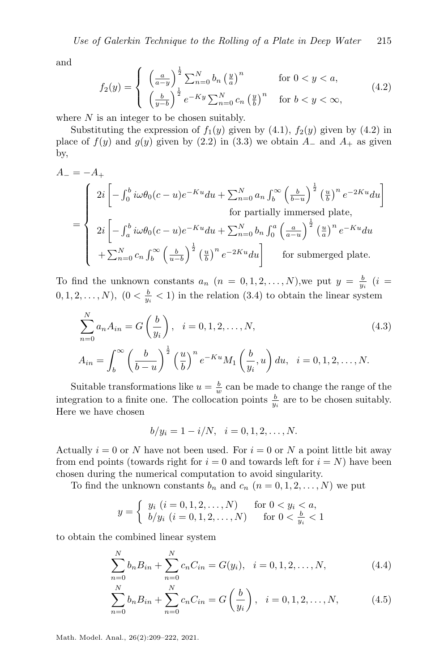and

$$
f_2(y) = \begin{cases} \left(\frac{a}{a-y}\right)^{\frac{1}{2}} \sum_{n=0}^{N} b_n \left(\frac{y}{a}\right)^n & \text{for } 0 < y < a, \\ \left(\frac{b}{y-b}\right)^{\frac{1}{2}} e^{-Ky} \sum_{n=0}^{N} c_n \left(\frac{y}{b}\right)^n & \text{for } b < y < \infty, \end{cases}
$$
(4.2)

where  $N$  is an integer to be chosen suitably.

Substituting the expression of  $f_1(y)$  given by  $(4.1)$ ,  $f_2(y)$  given by  $(4.2)$  in place of  $f(y)$  and  $g(y)$  given by (2.2) in (3.3) we obtain  $A_-\$  and  $A_+\$  as given by,

$$
A_{-} = -A_{+}
$$
\n
$$
= \begin{cases}\n2i \left[ -\int_{0}^{b} i\omega \theta_{0}(c-u)e^{-Ku}du + \sum_{n=0}^{N} a_{n} \int_{b}^{\infty} \left(\frac{b}{b-u}\right)^{\frac{1}{2}} \left(\frac{u}{b}\right)^{n} e^{-2Ku}du \right] \\
\text{for partially immersed plate,} \\
2i \left[ -\int_{a}^{b} i\omega \theta_{0}(c-u)e^{-Ku}du + \sum_{n=0}^{N} b_{n} \int_{0}^{a} \left(\frac{a}{a-u}\right)^{\frac{1}{2}} \left(\frac{u}{a}\right)^{n} e^{-Ku}du \\
+\sum_{n=0}^{N} c_{n} \int_{b}^{\infty} \left(\frac{b}{u-b}\right)^{\frac{1}{2}} \left(\frac{u}{b}\right)^{n} e^{-2Ku}du \right] \text{ for submerged plate.}\n\end{cases}
$$

To find the unknown constants  $a_n$   $(n = 0, 1, 2, ..., N)$ , we put  $y = \frac{b}{y_i}$   $(i =$  $(0, 1, 2, \ldots, N)$ ,  $(0 < \frac{b}{y_i} < 1)$  in the relation  $(3.4)$  to obtain the linear system

$$
\sum_{n=0}^{N} a_n A_{in} = G\left(\frac{b}{y_i}\right), \quad i = 0, 1, 2, ..., N,
$$
\n
$$
A_{in} = \int_b^{\infty} \left(\frac{b}{b-u}\right)^{\frac{1}{2}} \left(\frac{u}{b}\right)^n e^{-Ku} M_1\left(\frac{b}{y_i}, u\right) du, \quad i = 0, 1, 2, ..., N.
$$
\n(4.3)

Suitable transformations like  $u = \frac{b}{w}$  can be made to change the range of the integration to a finite one. The collocation points  $\frac{b}{y_i}$  are to be chosen suitably. Here we have chosen

$$
b/y_i = 1 - i/N, \quad i = 0, 1, 2, \dots, N.
$$

Actually  $i = 0$  or N have not been used. For  $i = 0$  or N a point little bit away from end points (towards right for  $i = 0$  and towards left for  $i = N$ ) have been chosen during the numerical computation to avoid singularity.

To find the unknown constants  $b_n$  and  $c_n$   $(n = 0, 1, 2, \ldots, N)$  we put

$$
y = \begin{cases} y_i \ (i = 0, 1, 2, \dots, N) & \text{for } 0 < y_i < a, \\ b/y_i \ (i = 0, 1, 2, \dots, N) & \text{for } 0 < \frac{b}{y_i} < 1 \end{cases}
$$

to obtain the combined linear system

$$
\sum_{n=0}^{N} b_n B_{in} + \sum_{n=0}^{N} c_n C_{in} = G(y_i), \quad i = 0, 1, 2, ..., N,
$$
\n(4.4)

$$
\sum_{n=0}^{N} b_n B_{in} + \sum_{n=0}^{N} c_n C_{in} = G\left(\frac{b}{y_i}\right), \quad i = 0, 1, 2, \dots, N,
$$
 (4.5)

Math. Model. Anal., 26(2):209–222, 2021.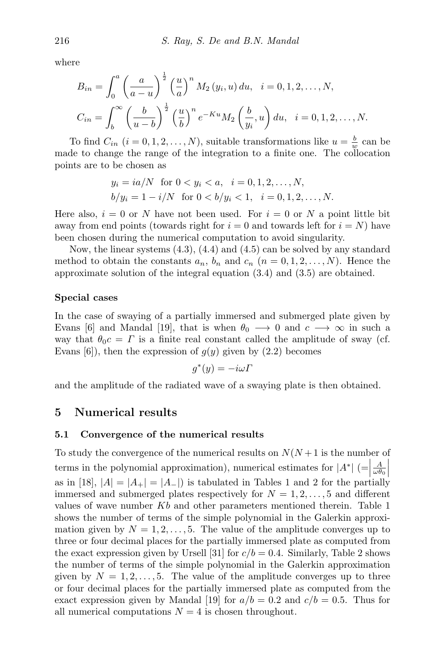where

$$
B_{in} = \int_0^a \left(\frac{a}{a-u}\right)^{\frac{1}{2}} \left(\frac{u}{a}\right)^n M_2(y_i, u) du, \quad i = 0, 1, 2, \dots, N,
$$
  

$$
C_{in} = \int_b^\infty \left(\frac{b}{u-b}\right)^{\frac{1}{2}} \left(\frac{u}{b}\right)^n e^{-Ku} M_2\left(\frac{b}{y_i}, u\right) du, \quad i = 0, 1, 2, \dots, N.
$$

To find  $C_{in}$   $(i = 0, 1, 2, ..., N)$ , suitable transformations like  $u = \frac{b}{w}$  can be made to change the range of the integration to a finite one. The collocation points are to be chosen as

$$
y_i = ia/N
$$
 for  $0 < y_i < a$ ,  $i = 0, 1, 2, ..., N$ ,  
\n $b/y_i = 1 - i/N$  for  $0 < b/y_i < 1$ ,  $i = 0, 1, 2, ..., N$ .

Here also,  $i = 0$  or N have not been used. For  $i = 0$  or N a point little bit away from end points (towards right for  $i = 0$  and towards left for  $i = N$ ) have been chosen during the numerical computation to avoid singularity.

Now, the linear systems (4.3), (4.4) and (4.5) can be solved by any standard method to obtain the constants  $a_n$ ,  $b_n$  and  $c_n$   $(n = 0, 1, 2, \ldots, N)$ . Hence the approximate solution of the integral equation (3.4) and (3.5) are obtained.

#### Special cases

In the case of swaying of a partially immersed and submerged plate given by Evans [6] and Mandal [19], that is when  $\theta_0 \longrightarrow 0$  and  $c \longrightarrow \infty$  in such a way that  $\theta_0 c = \Gamma$  is a finite real constant called the amplitude of sway (cf. Evans [6]), then the expression of  $q(y)$  given by  $(2.2)$  becomes

$$
g^*(y) = -i\omega\Gamma
$$

and the amplitude of the radiated wave of a swaying plate is then obtained.

### 5 Numerical results

#### 5.1 Convergence of the numerical results

To study the convergence of the numerical results on  $N(N+1)$  is the number of terms in the polynomial approximation), numerical estimates for  $|A^*|$  ( $=$  $\frac{A}{\omega \theta_0}$ as in [18],  $|A| = |A_+| = |A_-|$ ) is tabulated in Tables 1 and 2 for the partially immersed and submerged plates respectively for  $N = 1, 2, \ldots, 5$  and different values of wave number  $Kb$  and other parameters mentioned therein. Table 1 shows the number of terms of the simple polynomial in the Galerkin approximation given by  $N = 1, 2, \ldots, 5$ . The value of the amplitude converges up to three or four decimal places for the partially immersed plate as computed from the exact expression given by Ursell [31] for  $c/b = 0.4$ . Similarly, Table 2 shows the number of terms of the simple polynomial in the Galerkin approximation given by  $N = 1, 2, \ldots, 5$ . The value of the amplitude converges up to three or four decimal places for the partially immersed plate as computed from the exact expression given by Mandal [19] for  $a/b = 0.2$  and  $c/b = 0.5$ . Thus for all numerical computations  $N = 4$  is chosen throughout.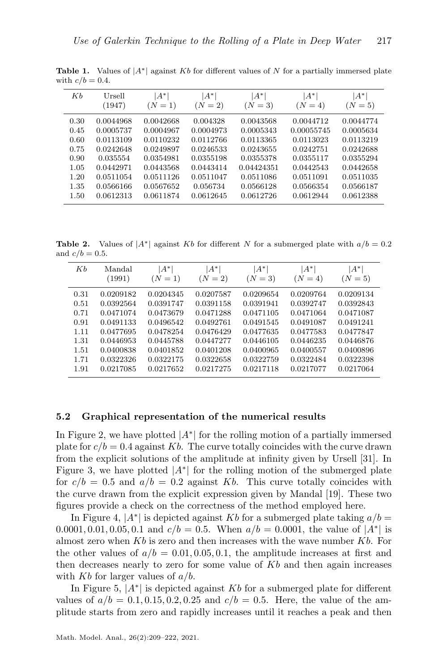| Kb                                   | Ursell<br>(1947)                                                          | $A^*$<br>$(N = 1)$                                                         | $A^*$<br>$(N = 2)$                                                        | $A^*$<br>$(N = 3)$                                                          | 'A*<br>$(N = 4)$                                               | $ A^* $<br>$(N = 5)$                                                       |
|--------------------------------------|---------------------------------------------------------------------------|----------------------------------------------------------------------------|---------------------------------------------------------------------------|-----------------------------------------------------------------------------|----------------------------------------------------------------|----------------------------------------------------------------------------|
| 0.30<br>0.45<br>0.60<br>0.75<br>0.90 | 0.0044968<br>0.0005737<br>0.0113109<br>0.0242648<br>0.035554<br>0.0442971 | 0.0042668<br>0.0004967<br>0.0110232<br>0.0249897<br>0.0354981<br>0.0443568 | 0.004328<br>0.0004973<br>0.0112766<br>0.0246533<br>0.0355198<br>0.0443414 | 0.0043568<br>0.0005343<br>0.0113365<br>0.0243655<br>0.0355378<br>0.04424351 | 0.0044712<br>0.00055745<br>0.0113023<br>0.0242751<br>0.0355117 | 0.0044774<br>0.0005634<br>0.0113219<br>0.0242688<br>0.0355294<br>0.0442658 |
| 1.05<br>1.20<br>1.35<br>1.50         | 0.0511054<br>0.0566166<br>0.0612313                                       | 0.0511126<br>0.0567652<br>0.0611874                                        | 0.0511047<br>0.056734<br>0.0612645                                        | 0.0511086<br>0.0566128<br>0.0612726                                         | 0.0442543<br>0.0511091<br>0.0566354<br>0.0612944               | 0.0511035<br>0.0566187<br>0.0612388                                        |

**Table 1.** Values of  $|A^*|$  against Kb for different values of N for a partially immersed plate with  $c/b = 0.4$ .

**Table 2.** Values of  $|A^*|$  against Kb for different N for a submerged plate with  $a/b = 0.2$ and  $c/b = 0.5$ .

| Кb   | Mandal    | A*        | $A^*$     | A*        | $ A^* $   | $A^*$     |
|------|-----------|-----------|-----------|-----------|-----------|-----------|
|      | (1991)    | $(N = 1)$ | $(N = 2)$ | $(N = 3)$ | $(N = 4)$ | $(N = 5)$ |
| 0.31 | 0.0209182 | 0.0204345 | 0.0207587 | 0.0209654 | 0.0209764 | 0.0209134 |
| 0.51 | 0.0392564 | 0.0391747 | 0.0391158 | 0.0391941 | 0.0392747 | 0.0392843 |
| 0.71 | 0.0471074 | 0.0473679 | 0.0471288 | 0.0471105 | 0.0471064 | 0.0471087 |
| 0.91 | 0.0491133 | 0.0496542 | 0.0492761 | 0.0491545 | 0.0491087 | 0.0491241 |
| 1.11 | 0.0477695 | 0.0478254 | 0.0476429 | 0.0477635 | 0.0477583 | 0.0477847 |
| 1.31 | 0.0446953 | 0.0445788 | 0.0447277 | 0.0446105 | 0.0446235 | 0.0446876 |
| 1.51 | 0.0400838 | 0.0401852 | 0.0401208 | 0.0400965 | 0.0400557 | 0.0400896 |
| 1.71 | 0.0322326 | 0.0322175 | 0.0322658 | 0.0322759 | 0.0322484 | 0.0322398 |
| 1.91 | 0.0217085 | 0.0217652 | 0.0217275 | 0.0217118 | 0.0217077 | 0.0217064 |

#### 5.2 Graphical representation of the numerical results

In Figure 2, we have plotted  $|A^*|$  for the rolling motion of a partially immersed plate for  $c/b = 0.4$  against Kb. The curve totally coincides with the curve drawn from the explicit solutions of the amplitude at infinity given by Ursell [31]. In Figure 3, we have plotted  $|A^*|$  for the rolling motion of the submerged plate for  $c/b = 0.5$  and  $a/b = 0.2$  against Kb. This curve totally coincides with the curve drawn from the explicit expression given by Mandal [19]. These two figures provide a check on the correctness of the method employed here.

In Figure 4,  $|A^*|$  is depicted against Kb for a submerged plate taking  $a/b =$ 0.0001, 0.01, 0.05, 0.1 and  $c/b = 0.5$ . When  $a/b = 0.0001$ , the value of  $|A^*|$  is almost zero when  $Kb$  is zero and then increases with the wave number  $Kb$ . For the other values of  $a/b = 0.01, 0.05, 0.1$ , the amplitude increases at first and then decreases nearly to zero for some value of  $Kb$  and then again increases with Kb for larger values of  $a/b$ .

In Figure 5,  $|A^*|$  is depicted against Kb for a submerged plate for different values of  $a/b = 0.1, 0.15, 0.2, 0.25$  and  $c/b = 0.5$ . Here, the value of the amplitude starts from zero and rapidly increases until it reaches a peak and then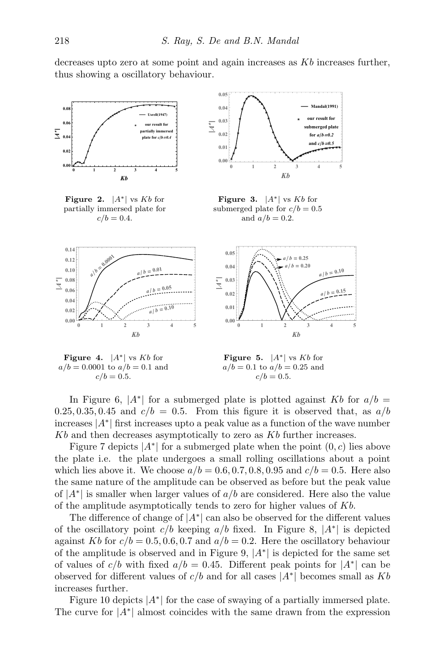decreases upto zero at some point and again increases as Kb increases further, thus showing a oscillatory behaviour.



 $a / b = 0.10$ 

**0 1 2 3 4 5**

Kb

Figure 4.  $|A^*|$  vs  $Kb$  for  $a/b = 0.0001$  to  $a/b = 0.1$  and  $c/b = 0.5$ .

**0.00 0.02**



**0 1 2 3 4 5**

Kb

**Mandal(1991)**

 $a/b = 0.10$  $b = 0.15$ 

In Figure 6,  $|A^*|$  for a submerged plate is plotted against Kb for  $a/b =$  $0.25, 0.35, 0.45$  and  $c/b = 0.5$ . From this figure it is observed that, as  $a/b$ increases |A<sup>∗</sup> | first increases upto a peak value as a function of the wave number  $Kb$  and then decreases asymptotically to zero as  $Kb$  further increases.

**0.00 0.01**

Figure 7 depicts  $|A^*|$  for a submerged plate when the point  $(0, c)$  lies above the plate i.e. the plate undergoes a small rolling oscillations about a point which lies above it. We choose  $a/b = 0.6, 0.7, 0.8, 0.95$  and  $c/b = 0.5$ . Here also the same nature of the amplitude can be observed as before but the peak value of  $|A^*|$  is smaller when larger values of  $a/b$  are considered. Here also the value of the amplitude asymptotically tends to zero for higher values of Kb.

The difference of change of  $|A^*|$  can also be observed for the different values of the oscillatory point  $c/b$  keeping  $a/b$  fixed. In Figure 8,  $|A^*|$  is depicted against Kb for  $c/b = 0.5, 0.6, 0.7$  and  $a/b = 0.2$ . Here the oscillatory behaviour of the amplitude is observed and in Figure 9,  $|A^*|$  is depicted for the same set of values of  $c/b$  with fixed  $a/b = 0.45$ . Different peak points for  $|A^*|$  can be observed for different values of  $c/b$  and for all cases  $|A^*|$  becomes small as Kb increases further.

Figure 10 depicts  $|A^*|$  for the case of swaying of a partially immersed plate. The curve for  $|A^*|$  almost coincides with the same drawn from the expression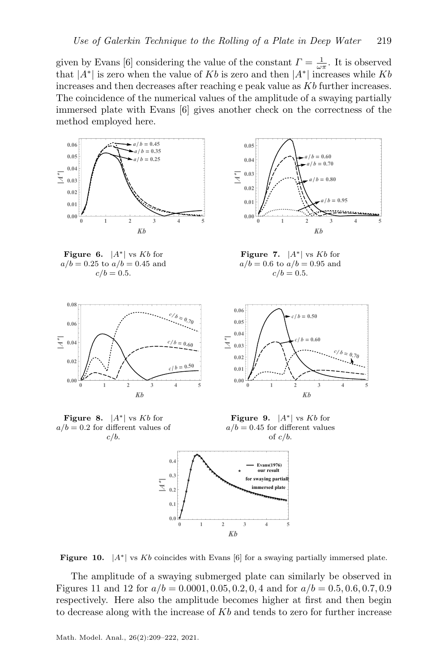given by Evans [6] considering the value of the constant  $\Gamma = \frac{1}{\omega \pi}$ . It is observed that  $|A^*|$  is zero when the value of Kb is zero and then  $|A^*|$  increases while Kb increases and then decreases after reaching e peak value as  $Kb$  further increases. The coincidence of the numerical values of the amplitude of a swaying partially immersed plate with Evans [6] gives another check on the correctness of the method employed here.







Figure 7.  $|A^*|$  vs Kb for  $a/b = 0.6$  to  $a/b = 0.95$  and  $c/b = 0.5$ .







Figure 9.  $|A^*|$  vs Kb for  $a/b = 0.45$  for different values of  $c/b$ .



Figure 10.  $|A^*|$  vs Kb coincides with Evans [6] for a swaying partially immersed plate.

The amplitude of a swaying submerged plate can similarly be observed in Figures 11 and 12 for  $a/b = 0.0001, 0.05, 0.2, 0.4$  and for  $a/b = 0.5, 0.6, 0.7, 0.9$ respectively. Here also the amplitude becomes higher at first and then begin to decrease along with the increase of  $Kb$  and tends to zero for further increase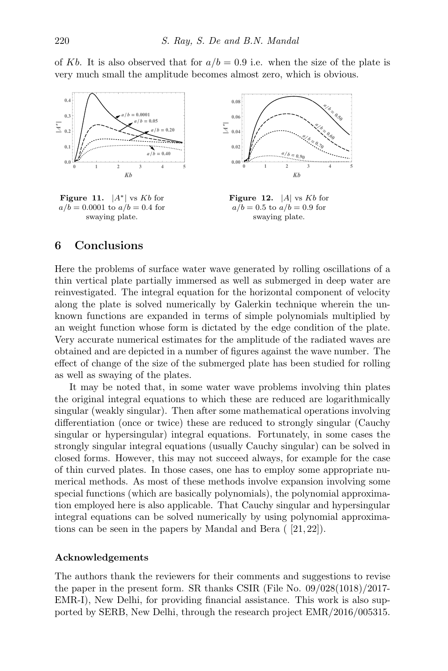of Kb. It is also observed that for  $a/b = 0.9$  i.e. when the size of the plate is very much small the amplitude becomes almost zero, which is obvious.



Figure 11.  $|A^*|$  vs Kb for  $a/b = 0.0001$  to  $a/b = 0.4$  for swaying plate.



**Figure 12.** |A| vs  $Kb$  for  $a/b = 0.5$  to  $a/b = 0.9$  for swaying plate.

# 6 Conclusions

Here the problems of surface water wave generated by rolling oscillations of a thin vertical plate partially immersed as well as submerged in deep water are reinvestigated. The integral equation for the horizontal component of velocity along the plate is solved numerically by Galerkin technique wherein the unknown functions are expanded in terms of simple polynomials multiplied by an weight function whose form is dictated by the edge condition of the plate. Very accurate numerical estimates for the amplitude of the radiated waves are obtained and are depicted in a number of figures against the wave number. The effect of change of the size of the submerged plate has been studied for rolling as well as swaying of the plates.

It may be noted that, in some water wave problems involving thin plates the original integral equations to which these are reduced are logarithmically singular (weakly singular). Then after some mathematical operations involving differentiation (once or twice) these are reduced to strongly singular (Cauchy singular or hypersingular) integral equations. Fortunately, in some cases the strongly singular integral equations (usually Cauchy singular) can be solved in closed forms. However, this may not succeed always, for example for the case of thin curved plates. In those cases, one has to employ some appropriate numerical methods. As most of these methods involve expansion involving some special functions (which are basically polynomials), the polynomial approximation employed here is also applicable. That Cauchy singular and hypersingular integral equations can be solved numerically by using polynomial approximations can be seen in the papers by Mandal and Bera ( [21, 22]).

#### Acknowledgements

The authors thank the reviewers for their comments and suggestions to revise the paper in the present form. SR thanks CSIR (File No. 09/028(1018)/2017- EMR-I), New Delhi, for providing financial assistance. This work is also supported by SERB, New Delhi, through the research project EMR/2016/005315.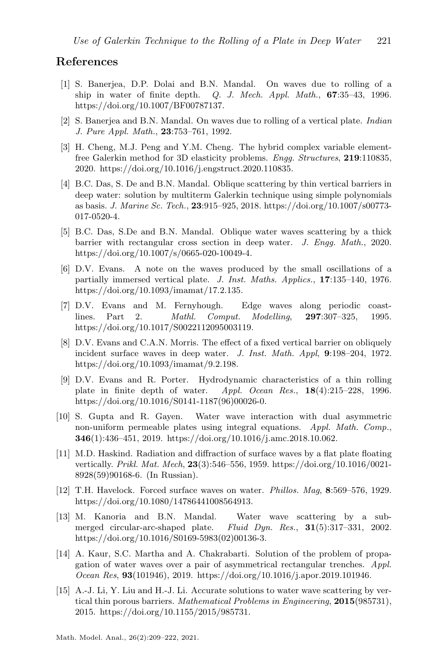# References

- [1] S. Banerjea, D.P. Dolai and B.N. Mandal. On waves due to rolling of a ship in water of finite depth. Q. J. Mech. Appl. Math., 67:35–43, 1996. https://doi.org/10.1007/BF00787137.
- [2] S. Banerjea and B.N. Mandal. On waves due to rolling of a vertical plate. Indian J. Pure Appl. Math., 23:753–761, 1992.
- [3] H. Cheng, M.J. Peng and Y.M. Cheng. The hybrid complex variable elementfree Galerkin method for 3D elasticity problems. Engg. Structures, 219:110835, 2020. https://doi.org/10.1016/j.engstruct.2020.110835.
- [4] B.C. Das, S. De and B.N. Mandal. Oblique scattering by thin vertical barriers in deep water: solution by multiterm Galerkin technique using simple polynomials as basis. J. Marine Sc. Tech., 23:915–925, 2018. https://doi.org/10.1007/s00773- 017-0520-4.
- [5] B.C. Das, S.De and B.N. Mandal. Oblique water waves scattering by a thick barrier with rectangular cross section in deep water. J. Engg. Math., 2020. https://doi.org/10.1007/s/0665-020-10049-4.
- [6] D.V. Evans. A note on the waves produced by the small oscillations of a partially immersed vertical plate. J. Inst. Maths. Applics., 17:135–140, 1976. https://doi.org/10.1093/imamat/17.2.135.
- [7] D.V. Evans and M. Fernyhough. Edge waves along periodic coastlines. Part 2. Mathl. Comput. Modelling, 297:307–325, 1995. https://doi.org/10.1017/S0022112095003119.
- [8] D.V. Evans and C.A.N. Morris. The effect of a fixed vertical barrier on obliquely incident surface waves in deep water. J. Inst. Math. Appl, 9:198-204, 1972. https://doi.org/10.1093/imamat/9.2.198.
- [9] D.V. Evans and R. Porter. Hydrodynamic characteristics of a thin rolling plate in finite depth of water. Appl. Ocean Res., 18(4):215–228, 1996. https://doi.org/10.1016/S0141-1187(96)00026-0.
- [10] S. Gupta and R. Gayen. Water wave interaction with dual asymmetric non-uniform permeable plates using integral equations. Appl. Math. Comp., 346(1):436–451, 2019. https://doi.org/10.1016/j.amc.2018.10.062.
- [11] M.D. Haskind. Radiation and diffraction of surface waves by a flat plate floating vertically. Prikl. Mat. Mech, 23(3):546–556, 1959. https://doi.org/10.1016/0021- 8928(59)90168-6. (In Russian).
- [12] T.H. Havelock. Forced surface waves on water. Phillos. Mag, 8:569–576, 1929. https://doi.org/10.1080/14786441008564913.
- [13] M. Kanoria and B.N. Mandal. Water wave scattering by a submerged circular-arc-shaped plate. Fluid Dyn. Res., 31(5):317-331, 2002. https://doi.org/10.1016/S0169-5983(02)00136-3.
- [14] A. Kaur, S.C. Martha and A. Chakrabarti. Solution of the problem of propagation of water waves over a pair of asymmetrical rectangular trenches. Appl. Ocean Res, 93(101946), 2019. https://doi.org/10.1016/j.apor.2019.101946.
- [15] A.-J. Li, Y. Liu and H.-J. Li. Accurate solutions to water wave scattering by vertical thin porous barriers. Mathematical Problems in Engineering, 2015(985731), 2015. https://doi.org/10.1155/2015/985731.